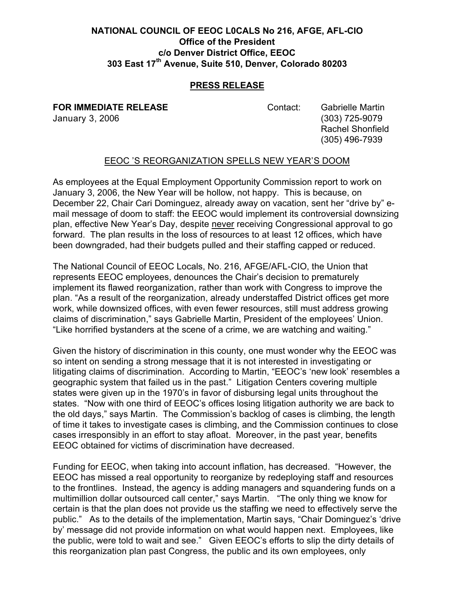## **NATIONAL COUNCIL OF EEOC L0CALS No 216, AFGE, AFL-CIO Office of the President c/o Denver District Office, EEOC 303 East 17th Avenue, Suite 510, Denver, Colorado 80203**

## **PRESS RELEASE**

**FOR IMMEDIATE RELEASE Contact:** Gabrielle Martin

January 3, 2006 (303) 725-9079 Rachel Shonfield (305) 496-7939

## EEOC 'S REORGANIZATION SPELLS NEW YEAR'S DOOM

As employees at the Equal Employment Opportunity Commission report to work on January 3, 2006, the New Year will be hollow, not happy. This is because, on December 22, Chair Cari Dominguez, already away on vacation, sent her "drive by" email message of doom to staff: the EEOC would implement its controversial downsizing plan, effective New Year's Day, despite never receiving Congressional approval to go forward. The plan results in the loss of resources to at least 12 offices, which have been downgraded, had their budgets pulled and their staffing capped or reduced.

The National Council of EEOC Locals, No. 216, AFGE/AFL-CIO, the Union that represents EEOC employees, denounces the Chair's decision to prematurely implement its flawed reorganization, rather than work with Congress to improve the plan. "As a result of the reorganization, already understaffed District offices get more work, while downsized offices, with even fewer resources, still must address growing claims of discrimination," says Gabrielle Martin, President of the employees' Union. "Like horrified bystanders at the scene of a crime, we are watching and waiting."

Given the history of discrimination in this county, one must wonder why the EEOC was so intent on sending a strong message that it is not interested in investigating or litigating claims of discrimination. According to Martin, "EEOC's 'new look' resembles a geographic system that failed us in the past." Litigation Centers covering multiple states were given up in the 1970's in favor of disbursing legal units throughout the states. "Now with one third of EEOC's offices losing litigation authority we are back to the old days," says Martin. The Commission's backlog of cases is climbing, the length of time it takes to investigate cases is climbing, and the Commission continues to close cases irresponsibly in an effort to stay afloat. Moreover, in the past year, benefits EEOC obtained for victims of discrimination have decreased.

Funding for EEOC, when taking into account inflation, has decreased. "However, the EEOC has missed a real opportunity to reorganize by redeploying staff and resources to the frontlines. Instead, the agency is adding managers and squandering funds on a multimillion dollar outsourced call center," says Martin. "The only thing we know for certain is that the plan does not provide us the staffing we need to effectively serve the public." As to the details of the implementation, Martin says, "Chair Dominguez's 'drive by' message did not provide information on what would happen next. Employees, like the public, were told to wait and see." Given EEOC's efforts to slip the dirty details of this reorganization plan past Congress, the public and its own employees, only